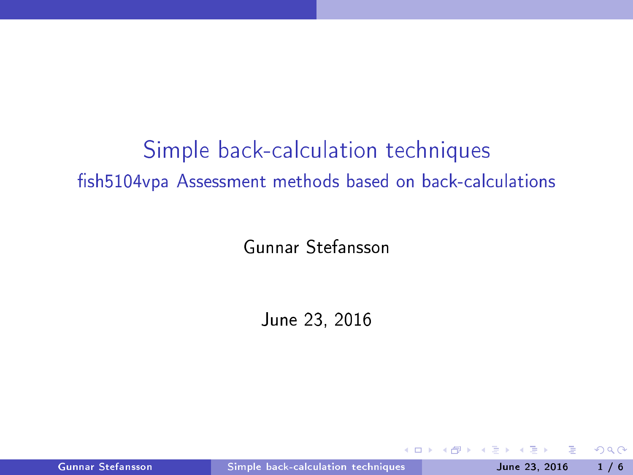# Simple back-calculation techniques fish5104vpa Assessment methods based on back-calculations

Gunnar Stefansson

June 23, 2016

Gunnar Stefansson Simple back-calculation techniques June 23, 2016 1/6

 $\blacksquare$ 

<span id="page-0-0"></span>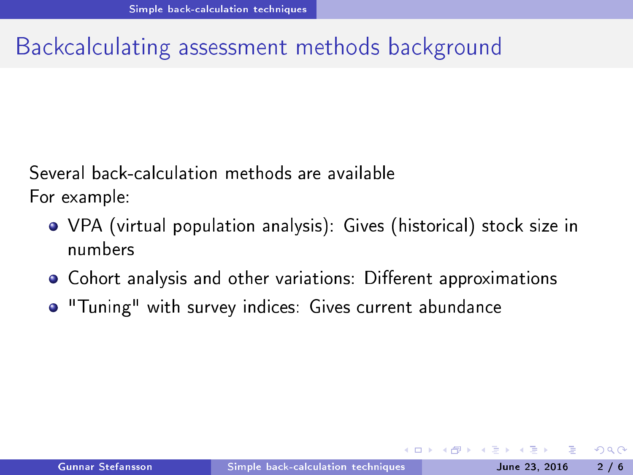## Backcalculating assessment methods background

Several back-calculation methods are available For example:

- VPA (virtual population analysis): Gives (historical) stock size in numbers
- $\bullet$  Cohort analysis and other variations: Different approximations
- <span id="page-1-0"></span>o "Tuning" with survey indices: Gives current abundance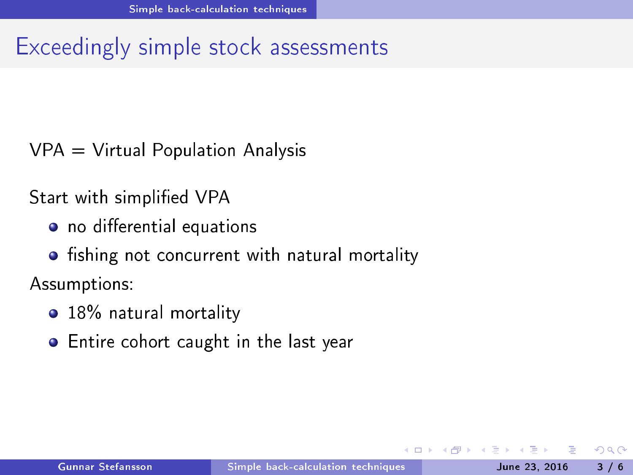### Exceedingly simple stock assessments

 $VPA = Virtual Population Analysis$  $\mathbf{V}$  and  $\mathbf{V}$  and  $\mathbf{V}$  and  $\mathbf{V}$  and  $\mathbf{V}$  and  $\mathbf{V}$  and  $\mathbf{V}$  and  $\mathbf{V}$  and  $\mathbf{V}$  and  $\mathbf{V}$  and  $\mathbf{V}$  and  $\mathbf{V}$  and  $\mathbf{V}$  and  $\mathbf{V}$  and  $\mathbf{V}$  and  $\mathbf{V}$  and  $\mathbf{V}$  and

Start with simplified VPA Start with simplicity  $\mathbb{R}^n$  and  $\mathbb{R}^n$  are the simplicity of  $\mathbb{R}^n$  . The simplicity of  $\mathbb{R}^n$ 

- o no differential equations
- fishing not concurrent with natural mortality shing not on
urrent with natural mortality

Assumptions:

- 18% natural mortality
- <span id="page-2-0"></span>• Entire cohort caught in the last year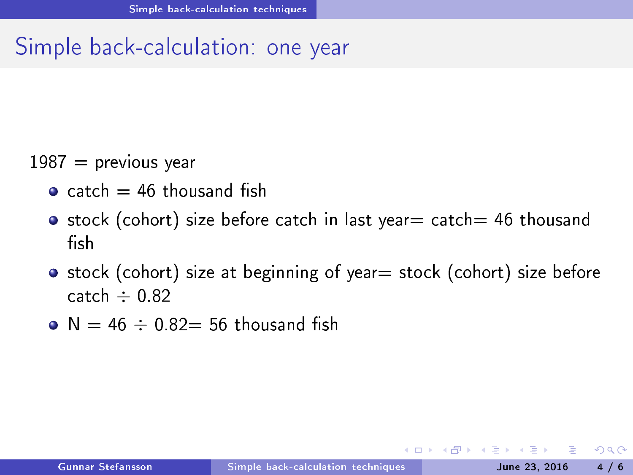### Simple back-calculation: one year

#### $1987$  = previous year  $1987$  and  $1987$  and  $1987$  and  $1987$  and  $1987$  and  $1987$  and  $1987$  and  $1987$  and  $1987$  and  $1987$  and  $1987$  and  $1987$  and  $1987$  and  $1987$  and  $1987$  and  $1987$  and  $1987$  and  $1987$  and  $1987$  and  $1987$  and

- $\bullet$  catch = 46 thousand fish
- stock (cohort) size before catch in last year = catch = 46 thousand stock (at the stock of the stock of the stock of the stock of the stock of the stock of the stock of the stock fish
- stock (cohort) size at beginning of year = stock (cohort) size before catch  $\div$  0.82
- <span id="page-3-0"></span> $\bullet$  N = 46  $\div$  0.82 = 56 thousand fish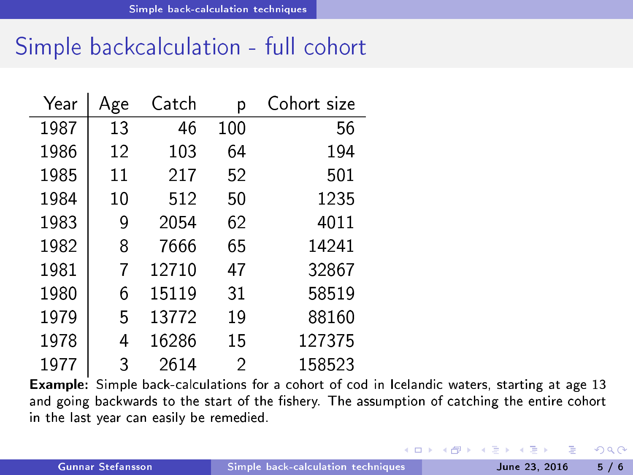# Simple backcalculation - full cohort

| Year | Age | Catch | р   | Cohort size |
|------|-----|-------|-----|-------------|
| 1987 | 13  | 46    | 100 | 56          |
| 1986 | 12  | 103   | 64  | 194         |
| 1985 | 11  | 217   | 52  | 501         |
| 1984 | 10  | 512   | 50  | 1235        |
| 1983 | 9   | 2054  | 62  | 4011        |
| 1982 | 8   | 7666  | 65  | 14241       |
| 1981 | 7   | 12710 | 47  | 32867       |
| 1980 | 6   | 15119 | 31  | 58519       |
| 1979 | 5   | 13772 | 19  | 88160       |
| 1978 | 4   | 16286 | 15  | 127375      |
| 1977 | 3   | 2614  | 2   | 158523      |

Example: Simple back-calculations for a cohort of cod in Icelandic waters, starting at age 13 and going backwards to the start of the fishery. The assumption of catching the entire cohort in the last year can easily be remedied.

<span id="page-4-0"></span>**◆ ロ ▶ → イ 冊**